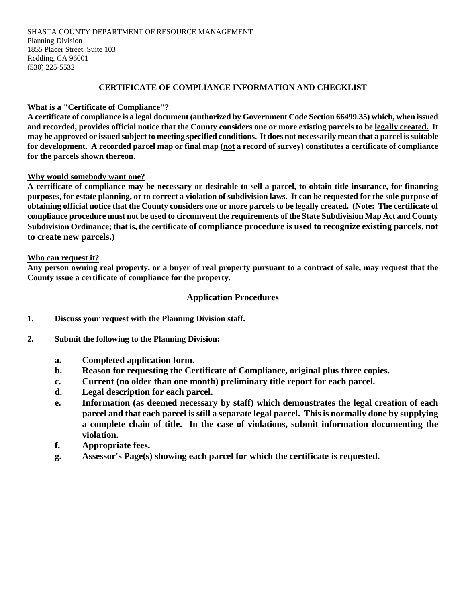#### SHASTA COUNTY DEPARTMENT OF RESOURCE MANAGEMENT Planning Division 1855 Placer Street, Suite 103 Redding, CA 96001 (530) 225-5532

## **CERTIFICATE OF COMPLIANCE INFORMATION AND CHECKLIST**

# **What is a "Certificate of Compliance"?**

**A certificate of compliance is a legal document (authorized by Government Code Section 66499.35) which, when issued and recorded, provides official notice that the County considers one or more existing parcels to be legally created. It may be approved or issued subject to meeting specified conditions. It does not necessarily mean that a parcel is suitable for development. A recorded parcel map or final map (not a record of survey) constitutes a certificate of compliance for the parcels shown thereon.**

#### **Why would somebody want one?**

**A certificate of compliance may be necessary or desirable to sell a parcel, to obtain title insurance, for financing purposes, for estate planning, or to correct a violation of subdivision laws. It can be requested for the sole purpose of obtaining official notice that the County considers one or more parcels to be legally created. (Note: The certificate of compliance procedure must not be used to circumvent the requirements of the State Subdivision Map Act and County Subdivision Ordinance; that is, the certificate of compliance procedure is used to recognize existing parcels, not to create new parcels.)** 

#### **Who can request it?**

**Any person owning real property, or a buyer of real property pursuant to a contract of sale, may request that the County issue a certificate of compliance for the property.** 

# **Application Procedures**

- **1. Discuss your request with the Planning Division staff.**
- **2. Submit the following to the Planning Division:**
	- **a. Completed application form.**
	- **b. Reason for requesting the Certificate of Compliance, original plus three copies.**
	- **c. Current (no older than one month) preliminary title report for each parcel.**
	- **d. Legal description for each parcel.**
	- **e. Information (as deemed necessary by staff) which demonstrates the legal creation of each parcel and that each parcel is still a separate legal parcel. This is normally done by supplying a complete chain of title. In the case of violations, submit information documenting the violation.**
	- **f. Appropriate fees.**
	- **g. Assessor's Page(s) showing each parcel for which the certificate is requested.**